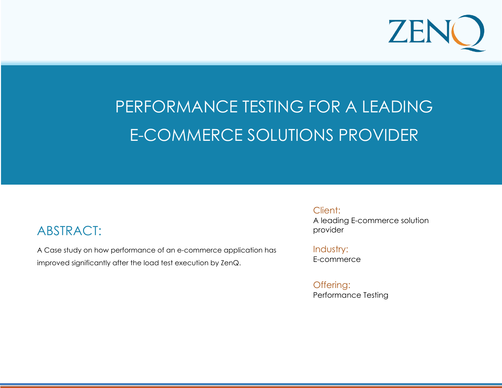

#### **e f i c i c i e n c i c i c i c i c i c i c a t i c i c a t i c i c a t i c i c a t i c a t i c a t** PERFORMANCE TESTING FOR A LEADING CASE STUDY: PERFORMANCE TESTING E-COMMERCE SOLUTIONS PROVIDER

### ABSTRACT:

A Case study on how performance of an e-commerce application has improved significantly after the load test execution by ZenQ.

**L e a r n i n g S o l u t i o n s P r o v i d e r i n U S** 

Client:

A leading E-commerce solution provider

Industry: E-commerce

Offering: Performance Testing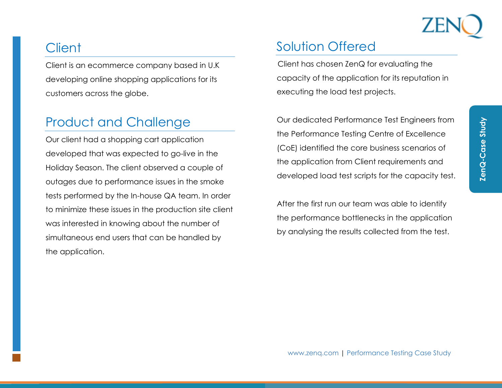## **Client**

Client is an ecommerce company based in U.K developing online shopping applications for its customers across the globe.

## Product and Challenge

Our client had a shopping cart application developed that was expected to go-live in the Holiday Season. The client observed a couple of outages due to performance issues in the smoke tests performed by the In-house QA team. In order to minimize these issues in the production site client was interested in knowing about the number of simultaneous end users that can be handled by the application.

## Solution Offered

Client has chosen ZenQ for evaluating the capacity of the application for its reputation in executing the load test projects.

Our dedicated Performance Test Engineers from the Performance Testing Centre of Excellence (CoE) identified the core business scenarios of the application from Client requirements and developed load test scripts for the capacity test.

After the first run our team was able to identify the performance bottlenecks in the application by analysing the results collected from the test.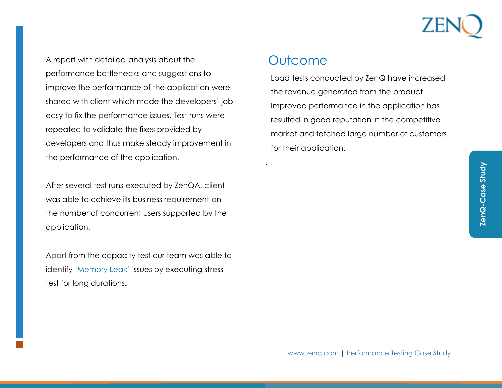

A report with detailed analysis about the performance bottlenecks and suggestions to improve the performance of the application were shared with client which made the developers' job easy to fix the performance issues. Test runs were repeated to validate the fixes provided by developers and thus make steady improvement in the performance of the application.

After several test runs executed by ZenQA, client was able to achieve its business requirement on the number of concurrent users supported by the application.

Apart from the capacity test our team was able to identify 'Memory Leak' issues by executing stress test for long durations.

#### **Outcome**

.

Load tests conducted by ZenQ have increased the revenue generated from the product. Improved performance in the application has resulted in good reputation in the competitive market and fetched large number of customers for their application.